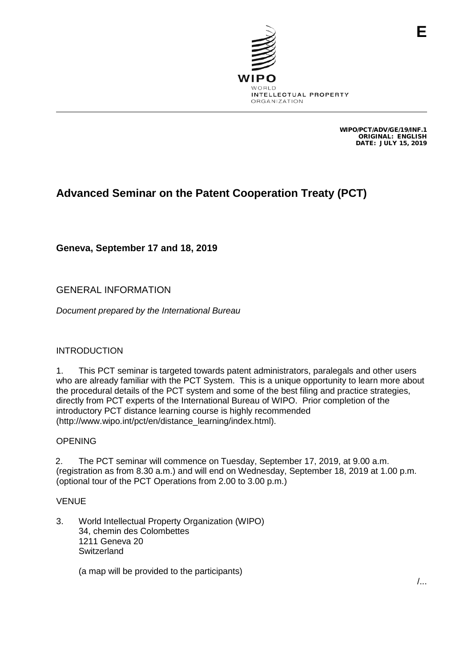

WIPO/PCT/ADV/GE/19/INF.1 ORIGINAL: ENGLISH DATE: JULY 15, 2019

**E**

# **Advanced Seminar on the Patent Cooperation Treaty (PCT)**

**Geneva, September 17 and 18, 2019**

## GENERAL INFORMATION

*Document prepared by the International Bureau*

### INTRODUCTION

1. This PCT seminar is targeted towards patent administrators, paralegals and other users who are already familiar with the PCT System. This is a unique opportunity to learn more about the procedural details of the PCT system and some of the best filing and practice strategies, directly from PCT experts of the International Bureau of WIPO. Prior completion of the introductory PCT distance learning course is highly recommended (http://www.wipo.int/pct/en/distance\_learning/index.html).

### OPENING

2. The PCT seminar will commence on Tuesday, September 17, 2019, at 9.00 a.m. (registration as from 8.30 a.m.) and will end on Wednesday, September 18, 2019 at 1.00 p.m. (optional tour of the PCT Operations from 2.00 to 3.00 p.m.)

### VENUE

3. World Intellectual Property Organization (WIPO) 34, chemin des Colombettes 1211 Geneva 20 **Switzerland** 

(a map will be provided to the participants)

/...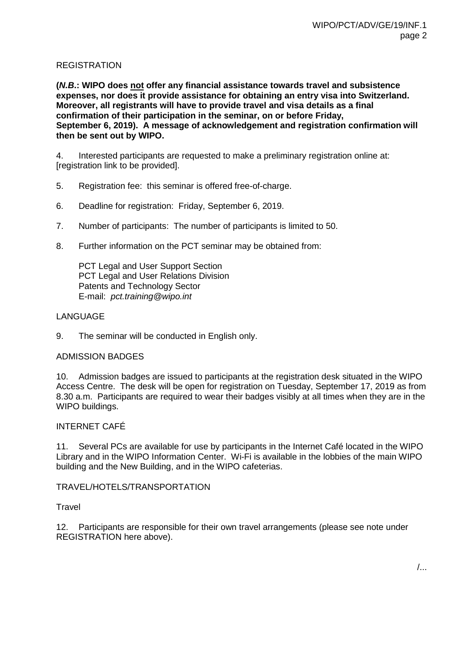### REGISTRATION

**(***N.B***.: WIPO does not offer any financial assistance towards travel and subsistence expenses, nor does it provide assistance for obtaining an entry visa into Switzerland. Moreover, all registrants will have to provide travel and visa details as a final confirmation of their participation in the seminar, on or before Friday, September 6, 2019). A message of acknowledgement and registration confirmation will then be sent out by WIPO.**

4. Interested participants are requested to make a preliminary registration online at: [registration link to be provided].

- 5. Registration fee: this seminar is offered free-of-charge.
- 6. Deadline for registration: Friday, September 6, 2019.
- 7. Number of participants: The number of participants is limited to 50.
- 8. Further information on the PCT seminar may be obtained from:

PCT Legal and User Support Section PCT Legal and User Relations Division Patents and Technology Sector E-mail: *pct.training@wipo.int*

### LANGUAGE

9. The seminar will be conducted in English only.

### ADMISSION BADGES

10. Admission badges are issued to participants at the registration desk situated in the WIPO Access Centre. The desk will be open for registration on Tuesday, September 17, 2019 as from 8.30 a.m. Participants are required to wear their badges visibly at all times when they are in the WIPO buildings.

### INTERNET CAFÉ

11. Several PCs are available for use by participants in the Internet Café located in the WIPO Library and in the WIPO Information Center. Wi-Fi is available in the lobbies of the main WIPO building and the New Building, and in the WIPO cafeterias.

### TRAVEL/HOTELS/TRANSPORTATION

### **Travel**

12. Participants are responsible for their own travel arrangements (please see note under REGISTRATION here above).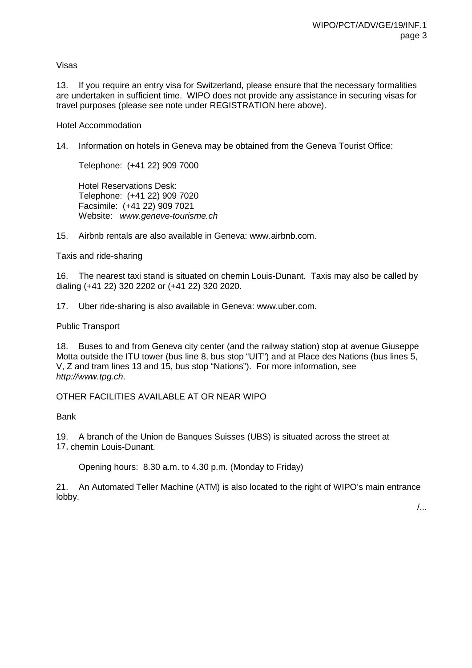Visas

13. If you require an entry visa for Switzerland, please ensure that the necessary formalities are undertaken in sufficient time. WIPO does not provide any assistance in securing visas for travel purposes (please see note under REGISTRATION here above).

#### Hotel Accommodation

14. Information on hotels in Geneva may be obtained from the Geneva Tourist Office:

Telephone: (+41 22) 909 7000

Hotel Reservations Desk: Telephone: (+41 22) 909 7020 Facsimile: (+41 22) 909 7021 Website: *www.geneve-tourisme.ch*

15. Airbnb rentals are also available in Geneva: www.airbnb.com.

Taxis and ride-sharing

16. The nearest taxi stand is situated on chemin Louis-Dunant. Taxis may also be called by dialing (+41 22) 320 2202 or (+41 22) 320 2020.

17. Uber ride-sharing is also available in Geneva: www.uber.com.

Public Transport

18. Buses to and from Geneva city center (and the railway station) stop at avenue Giuseppe Motta outside the ITU tower (bus line 8, bus stop "UIT") and at Place des Nations (bus lines 5, V, Z and tram lines 13 and 15, bus stop "Nations"). For more information, see *http://www.tpg.ch*.

OTHER FACILITIES AVAILABLE AT OR NEAR WIPO

Bank

19. A branch of the Union de Banques Suisses (UBS) is situated across the street at 17, chemin Louis-Dunant.

Opening hours: 8.30 a.m. to 4.30 p.m. (Monday to Friday)

21. An Automated Teller Machine (ATM) is also located to the right of WIPO's main entrance lobby.

/...